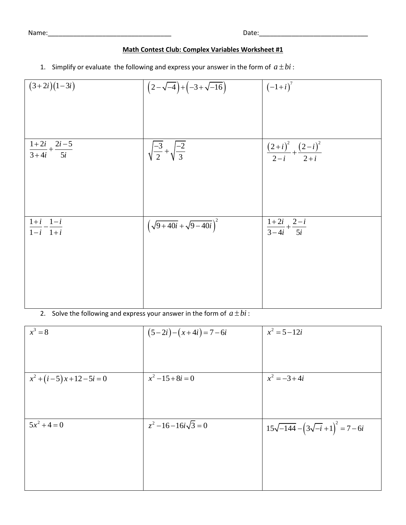Name:\_\_\_\_\_\_\_\_\_\_\_\_\_\_\_\_\_\_\_\_\_\_\_\_\_\_\_\_\_\_\_\_\_\_ Date:\_\_\_\_\_\_\_\_\_\_\_\_\_\_\_\_\_\_\_\_\_\_\_\_\_\_\_\_\_\_

# **Math Contest Club: Complex Variables Worksheet #1**

1. Simplify or evaluate the following and express your answer in the form of  $a \pm bi$ :

| $(3+2i)(1-3i)$                                   | $(2-\sqrt{-4})+(-3+\sqrt{-16})$             | $(-1+i)^7$                                  |
|--------------------------------------------------|---------------------------------------------|---------------------------------------------|
|                                                  |                                             |                                             |
|                                                  |                                             |                                             |
| $\frac{1+2i}{3+4i} + \frac{2i-5}{5i}$            | $\sqrt{\frac{-3}{2}} + \sqrt{\frac{-2}{3}}$ | $\frac{(2+i)^2}{2-i} + \frac{(2-i)^2}{2+i}$ |
|                                                  |                                             |                                             |
|                                                  |                                             |                                             |
| $1+i$ $1-i$<br>$\overline{1-i}$ $\overline{1+i}$ | $\left(\sqrt{9+40i}+\sqrt{9-40i}\right)^2$  | $\frac{1+2i}{3-4i}+\frac{2-i}{5i}$          |
|                                                  |                                             |                                             |
|                                                  |                                             |                                             |
|                                                  |                                             |                                             |
|                                                  |                                             |                                             |

2. Solve the following and express your answer in the form of  $a \pm bi$ :

| $x^3=8$                      | $(5-2i)-(x+4i)=7-6i$   | $x^2 = 5 - 12i$                               |
|------------------------------|------------------------|-----------------------------------------------|
|                              |                        |                                               |
|                              |                        |                                               |
| $x^2 + (i-5)x + 12 - 5i = 0$ | $x^2-15+8i=0$          | $x^2 = -3 + 4i$                               |
|                              |                        |                                               |
|                              |                        |                                               |
| $5x^2 + 4 = 0$               | $z^2-16-16i\sqrt{3}=0$ | $15\sqrt{-144} - (3\sqrt{-i} + 1)^2 = 7 - 6i$ |
|                              |                        |                                               |
|                              |                        |                                               |
|                              |                        |                                               |
|                              |                        |                                               |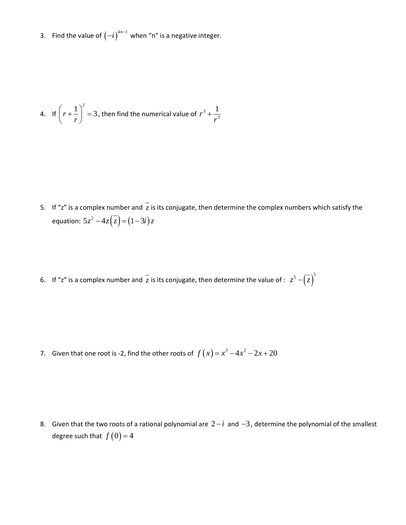3. Find the value of  $(-i)^{4n-1}$  when "n" is a negative integer.

4. If 
$$
\left(r + \frac{1}{r}\right)^2 = 3
$$
, then find the numerical value of  $r^3 + \frac{1}{r^3}$ 

- 5. If "z" is a complex number and  $z$  is its conjugate, then determine the complex numbers which satisfy the equation:  $5z^2 - 4z(\overline{z}) = (1-3i)z$
- 6. If "z" is a complex number and  $\overline{z}$  is its conjugate, then determine the value of :  $z^5 -(\overline{z})^5$

7. Given that one root is -2, find the other roots of  $f(x) = x^3 - 4x^2 - 2x + 20$ 

8. Given that the two roots of a rational polynomial are  $2-i$  and  $-3$ , determine the polynomial of the smallest degree such that  $f(0)$  = 4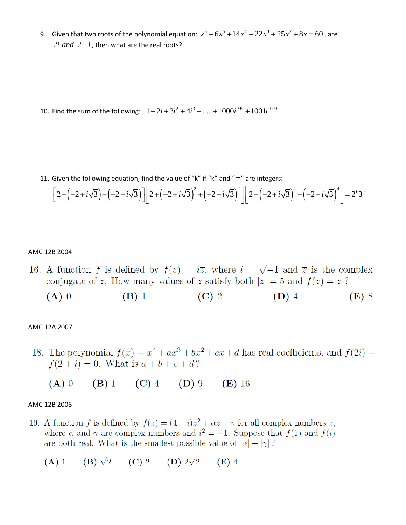9. Given that two roots of the polynomial equation:  $x^6 - 6x^5 + 14x^4 - 22x^3 + 25x^2 + 8x = 60$ , are  $2i$  *and*  $2-i$ , then what are the real roots?

10. Find the sum of the following:  $1 + 2i + 3i^2 + 4i^3 + \dots + 1000i^{999} + 1001i^{1000}$ 

11. Given the following equation, find the value of "k" if "k" and "m" are integers:

Given the following equation, find the value of "k" if "k" and "m" are integers:  
\n
$$
\left[2 - \left(-2 + i\sqrt{3}\right) - \left(-2 - i\sqrt{3}\right)\right] \left[2 + \left(-2 + i\sqrt{3}\right)^2 + \left(-2 - i\sqrt{3}\right)^2\right] \left[2 - \left(-2 + i\sqrt{3}\right)^4 - \left(-2 - i\sqrt{3}\right)^4\right] = 2^k 3^m
$$

#### AMC 12B 2004

- 16. A function f is defined by  $f(z) = i\overline{z}$ , where  $i = \sqrt{-1}$  and  $\overline{z}$  is the complex conjugate of z. How many values of z satisfy both  $|z|=5$  and  $f(z)=z$ ?
	- (C) 2 (D) 4  $(A)$  0  $(B)$  1  $(E)$  8

## AMC 12A 2007

- 18. The polynomial  $f(x) = x^4 + ax^3 + bx^2 + cx + d$  has real coefficients, and  $f(2i) =$  $f(2+i) = 0$ . What is  $a + b + c + d$ ?
	- (B) 1 (C) 4 (D) 9 (E) 16  $(A)$  0

#### AMC 12B 2008

- 19. A function f is defined by  $f(z) = (4 + i)z^2 + \alpha z + \gamma$  for all complex numbers z, where  $\alpha$  and  $\gamma$  are complex numbers and  $i^2 = -1$ . Suppose that  $f(1)$  and  $f(i)$ are both real. What is the smallest possible value of  $|\alpha| + |\gamma|$ ?
	- (A) 1 (B)  $\sqrt{2}$  (C) 2 (D)  $2\sqrt{2}$  (E) 4